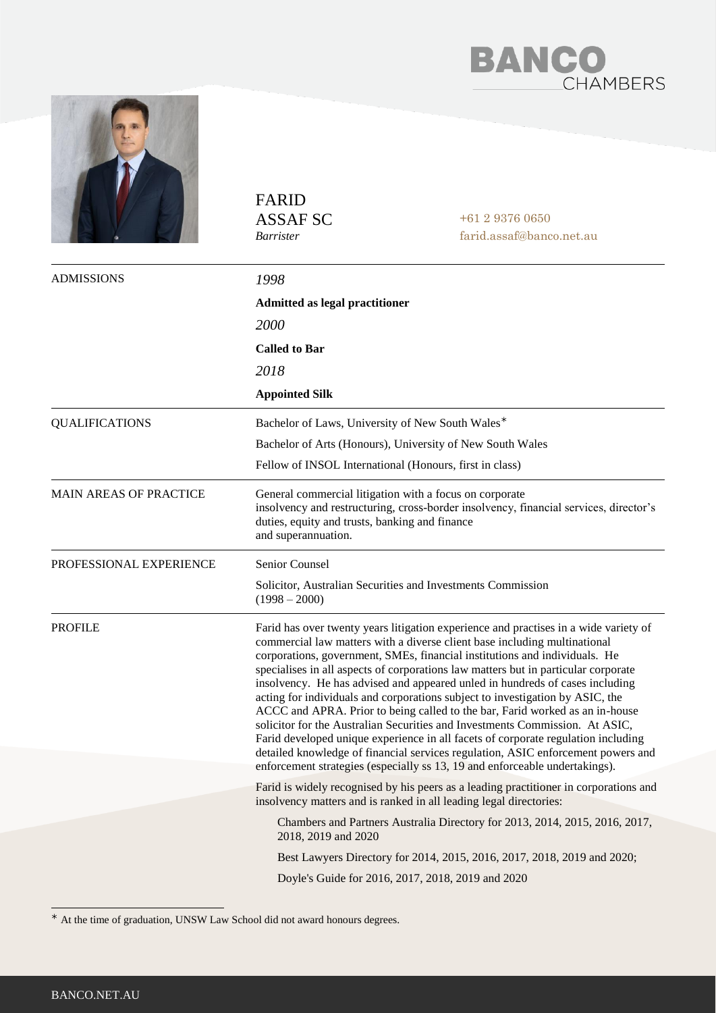



|                         | <b>FARID</b><br><b>ASSAF SC</b><br><i>Barrister</i>                                                                                                         | $+61293760650$<br>farid.assaf@banco.net.au                                                                                                                                                                                                                                                                                                                                                                                                                                                                                                                                                                                                                                                                                                                                                                                                                                                                                     |  |
|-------------------------|-------------------------------------------------------------------------------------------------------------------------------------------------------------|--------------------------------------------------------------------------------------------------------------------------------------------------------------------------------------------------------------------------------------------------------------------------------------------------------------------------------------------------------------------------------------------------------------------------------------------------------------------------------------------------------------------------------------------------------------------------------------------------------------------------------------------------------------------------------------------------------------------------------------------------------------------------------------------------------------------------------------------------------------------------------------------------------------------------------|--|
| <b>ADMISSIONS</b>       | 1998                                                                                                                                                        |                                                                                                                                                                                                                                                                                                                                                                                                                                                                                                                                                                                                                                                                                                                                                                                                                                                                                                                                |  |
|                         | <b>Admitted as legal practitioner</b>                                                                                                                       |                                                                                                                                                                                                                                                                                                                                                                                                                                                                                                                                                                                                                                                                                                                                                                                                                                                                                                                                |  |
|                         | 2000                                                                                                                                                        |                                                                                                                                                                                                                                                                                                                                                                                                                                                                                                                                                                                                                                                                                                                                                                                                                                                                                                                                |  |
|                         | <b>Called to Bar</b>                                                                                                                                        |                                                                                                                                                                                                                                                                                                                                                                                                                                                                                                                                                                                                                                                                                                                                                                                                                                                                                                                                |  |
|                         | 2018                                                                                                                                                        |                                                                                                                                                                                                                                                                                                                                                                                                                                                                                                                                                                                                                                                                                                                                                                                                                                                                                                                                |  |
|                         | <b>Appointed Silk</b>                                                                                                                                       |                                                                                                                                                                                                                                                                                                                                                                                                                                                                                                                                                                                                                                                                                                                                                                                                                                                                                                                                |  |
| <b>QUALIFICATIONS</b>   | Bachelor of Laws, University of New South Wales*                                                                                                            |                                                                                                                                                                                                                                                                                                                                                                                                                                                                                                                                                                                                                                                                                                                                                                                                                                                                                                                                |  |
|                         | Bachelor of Arts (Honours), University of New South Wales                                                                                                   |                                                                                                                                                                                                                                                                                                                                                                                                                                                                                                                                                                                                                                                                                                                                                                                                                                                                                                                                |  |
|                         | Fellow of INSOL International (Honours, first in class)                                                                                                     |                                                                                                                                                                                                                                                                                                                                                                                                                                                                                                                                                                                                                                                                                                                                                                                                                                                                                                                                |  |
| MAIN AREAS OF PRACTICE  | General commercial litigation with a focus on corporate<br>duties, equity and trusts, banking and finance<br>and superannuation.                            | insolvency and restructuring, cross-border insolvency, financial services, director's                                                                                                                                                                                                                                                                                                                                                                                                                                                                                                                                                                                                                                                                                                                                                                                                                                          |  |
| PROFESSIONAL EXPERIENCE | Senior Counsel                                                                                                                                              |                                                                                                                                                                                                                                                                                                                                                                                                                                                                                                                                                                                                                                                                                                                                                                                                                                                                                                                                |  |
|                         | Solicitor, Australian Securities and Investments Commission<br>$(1998 - 2000)$                                                                              |                                                                                                                                                                                                                                                                                                                                                                                                                                                                                                                                                                                                                                                                                                                                                                                                                                                                                                                                |  |
| PROFILE                 |                                                                                                                                                             | Farid has over twenty years litigation experience and practises in a wide variety of<br>commercial law matters with a diverse client base including multinational<br>corporations, government, SMEs, financial institutions and individuals. He<br>specialises in all aspects of corporations law matters but in particular corporate<br>insolvency. He has advised and appeared unled in hundreds of cases including<br>acting for individuals and corporations subject to investigation by ASIC, the<br>ACCC and APRA. Prior to being called to the bar, Farid worked as an in-house<br>solicitor for the Australian Securities and Investments Commission. At ASIC,<br>Farid developed unique experience in all facets of corporate regulation including<br>detailed knowledge of financial services regulation, ASIC enforcement powers and<br>enforcement strategies (especially ss 13, 19 and enforceable undertakings). |  |
|                         | Farid is widely recognised by his peers as a leading practitioner in corporations and<br>insolvency matters and is ranked in all leading legal directories: |                                                                                                                                                                                                                                                                                                                                                                                                                                                                                                                                                                                                                                                                                                                                                                                                                                                                                                                                |  |
|                         | Chambers and Partners Australia Directory for 2013, 2014, 2015, 2016, 2017,<br>2018, 2019 and 2020                                                          |                                                                                                                                                                                                                                                                                                                                                                                                                                                                                                                                                                                                                                                                                                                                                                                                                                                                                                                                |  |
|                         | Best Lawyers Directory for 2014, 2015, 2016, 2017, 2018, 2019 and 2020;                                                                                     |                                                                                                                                                                                                                                                                                                                                                                                                                                                                                                                                                                                                                                                                                                                                                                                                                                                                                                                                |  |
|                         |                                                                                                                                                             | Doyle's Guide for 2016, 2017, 2018, 2019 and 2020                                                                                                                                                                                                                                                                                                                                                                                                                                                                                                                                                                                                                                                                                                                                                                                                                                                                              |  |

At the time of graduation, UNSW Law School did not award honours degrees.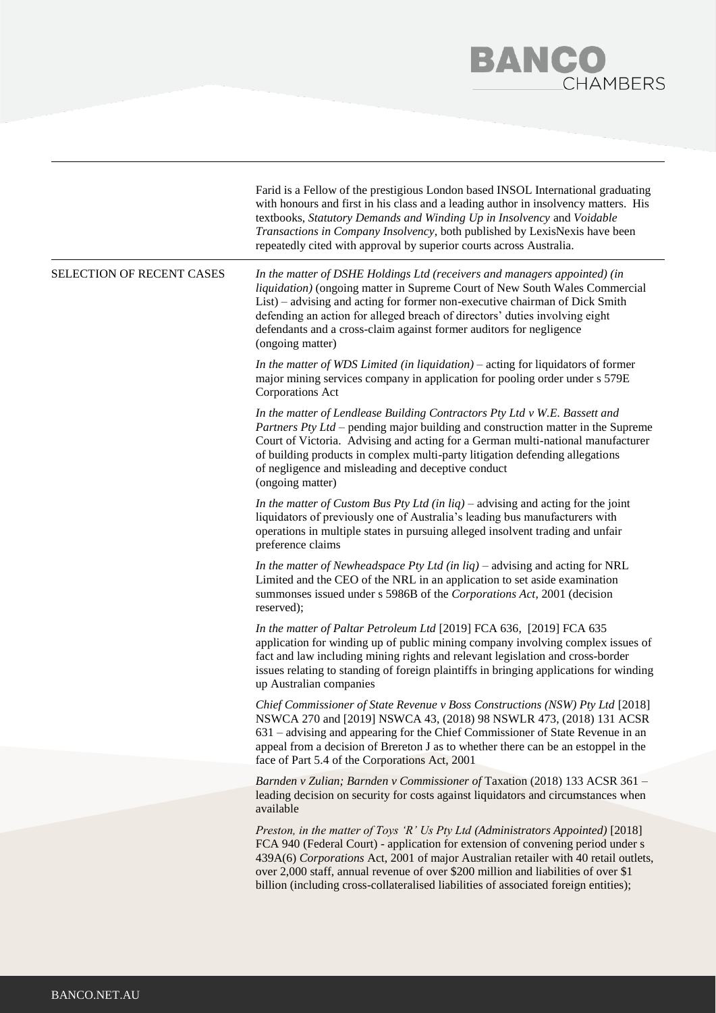## **BANCO**<br>CHAMBERS

|                           | Farid is a Fellow of the prestigious London based INSOL International graduating<br>with honours and first in his class and a leading author in insolvency matters. His<br>textbooks, Statutory Demands and Winding Up in Insolvency and Voidable<br>Transactions in Company Insolvency, both published by LexisNexis have been<br>repeatedly cited with approval by superior courts across Australia.                                  |
|---------------------------|-----------------------------------------------------------------------------------------------------------------------------------------------------------------------------------------------------------------------------------------------------------------------------------------------------------------------------------------------------------------------------------------------------------------------------------------|
| SELECTION OF RECENT CASES | In the matter of DSHE Holdings Ltd (receivers and managers appointed) (in<br>liquidation) (ongoing matter in Supreme Court of New South Wales Commercial<br>List) – advising and acting for former non-executive chairman of Dick Smith<br>defending an action for alleged breach of directors' duties involving eight<br>defendants and a cross-claim against former auditors for negligence<br>(ongoing matter)                       |
|                           | In the matter of WDS Limited (in liquidation) $-$ acting for liquidators of former<br>major mining services company in application for pooling order under s 579E<br>Corporations Act                                                                                                                                                                                                                                                   |
|                           | In the matter of Lendlease Building Contractors Pty Ltd v W.E. Bassett and<br>Partners Pty Ltd – pending major building and construction matter in the Supreme<br>Court of Victoria. Advising and acting for a German multi-national manufacturer<br>of building products in complex multi-party litigation defending allegations<br>of negligence and misleading and deceptive conduct<br>(ongoing matter)                             |
|                           | In the matter of Custom Bus Pty Ltd (in $liq$ ) – advising and acting for the joint<br>liquidators of previously one of Australia's leading bus manufacturers with<br>operations in multiple states in pursuing alleged insolvent trading and unfair<br>preference claims                                                                                                                                                               |
|                           | In the matter of Newheadspace Pty Ltd (in $liq$ ) – advising and acting for NRL<br>Limited and the CEO of the NRL in an application to set aside examination<br>summonses issued under s 5986B of the Corporations Act, 2001 (decision<br>reserved);                                                                                                                                                                                    |
|                           | In the matter of Paltar Petroleum Ltd [2019] FCA 636, [2019] FCA 635<br>application for winding up of public mining company involving complex issues of<br>fact and law including mining rights and relevant legislation and cross-border<br>issues relating to standing of foreign plaintiffs in bringing applications for winding<br>up Australian companies                                                                          |
|                           | Chief Commissioner of State Revenue v Boss Constructions (NSW) Pty Ltd [2018]<br>NSWCA 270 and [2019] NSWCA 43, (2018) 98 NSWLR 473, (2018) 131 ACSR<br>631 – advising and appearing for the Chief Commissioner of State Revenue in an<br>appeal from a decision of Brereton J as to whether there can be an estoppel in the<br>face of Part 5.4 of the Corporations Act, 2001                                                          |
|                           | Barnden v Zulian; Barnden v Commissioner of Taxation (2018) 133 ACSR 361 -<br>leading decision on security for costs against liquidators and circumstances when<br>available                                                                                                                                                                                                                                                            |
|                           | Preston, in the matter of Toys 'R' Us Pty Ltd (Administrators Appointed) [2018]<br>FCA 940 (Federal Court) - application for extension of convening period under s<br>439A(6) Corporations Act, 2001 of major Australian retailer with 40 retail outlets,<br>over 2,000 staff, annual revenue of over \$200 million and liabilities of over \$1<br>billion (including cross-collateralised liabilities of associated foreign entities); |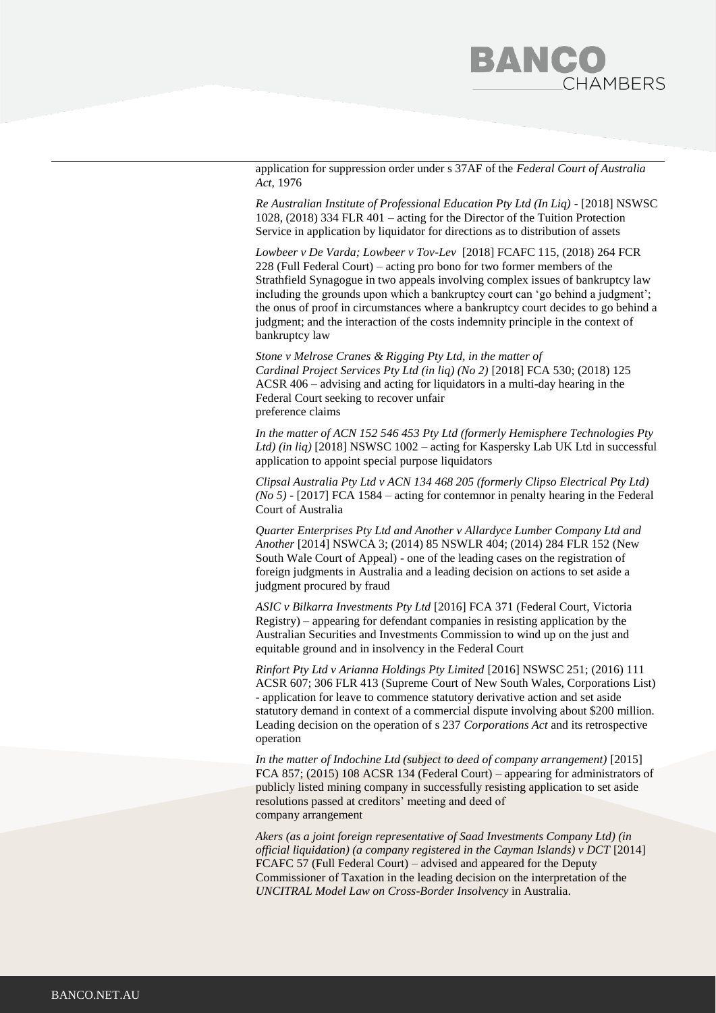

application for suppression order under s 37AF of the *Federal Court of Australia Act*, 1976

*Re Australian Institute of Professional Education Pty Ltd (In Liq)* - [2018] NSWSC 1028, (2018) 334 FLR 401 – acting for the Director of the Tuition Protection Service in application by liquidator for directions as to distribution of assets

*Lowbeer v De Varda; Lowbeer v Tov-Lev* [2018] FCAFC 115, (2018) 264 FCR 228 (Full Federal Court) – acting pro bono for two former members of the Strathfield Synagogue in two appeals involving complex issues of bankruptcy law including the grounds upon which a bankruptcy court can 'go behind a judgment'; the onus of proof in circumstances where a bankruptcy court decides to go behind a judgment; and the interaction of the costs indemnity principle in the context of bankruptcy law

*Stone v Melrose Cranes & Rigging Pty Ltd, in the matter of Cardinal Project Services Pty Ltd (in liq) (No 2)* [2018] FCA 530; (2018) 125 ACSR 406 – advising and acting for liquidators in a multi-day hearing in the Federal Court seeking to recover unfair preference claims

*In the matter of ACN 152 546 453 Pty Ltd (formerly Hemisphere Technologies Pty Ltd) (in liq)* [2018] NSWSC 1002 – acting for Kaspersky Lab UK Ltd in successful application to appoint special purpose liquidators

*Clipsal Australia Pty Ltd v ACN 134 468 205 (formerly Clipso Electrical Pty Ltd) (No 5)* - [2017] FCA 1584 – acting for contemnor in penalty hearing in the Federal Court of Australia

*Quarter Enterprises Pty Ltd and Another v Allardyce Lumber Company Ltd and Another* [2014] NSWCA 3; (2014) 85 NSWLR 404; (2014) 284 FLR 152 (New South Wale Court of Appeal) - one of the leading cases on the registration of foreign judgments in Australia and a leading decision on actions to set aside a judgment procured by fraud

*ASIC v Bilkarra Investments Pty Ltd* [2016] FCA 371 (Federal Court, Victoria Registry) – appearing for defendant companies in resisting application by the Australian Securities and Investments Commission to wind up on the just and equitable ground and in insolvency in the Federal Court

*Rinfort Pty Ltd v Arianna Holdings Pty Limited* [2016] NSWSC 251; (2016) 111 ACSR 607; 306 FLR 413 (Supreme Court of New South Wales, Corporations List) - application for leave to commence statutory derivative action and set aside statutory demand in context of a commercial dispute involving about \$200 million. Leading decision on the operation of s 237 *Corporations Act* and its retrospective operation

*In the matter of Indochine Ltd (subject to deed of company arrangement)* [2015] FCA 857; (2015) 108 ACSR 134 (Federal Court) – appearing for administrators of publicly listed mining company in successfully resisting application to set aside resolutions passed at creditors' meeting and deed of company arrangement

*Akers (as a joint foreign representative of Saad Investments Company Ltd) (in official liquidation) (a company registered in the Cayman Islands) v DCT* [2014] FCAFC 57 (Full Federal Court) – advised and appeared for the Deputy Commissioner of Taxation in the leading decision on the interpretation of the *UNCITRAL Model Law on Cross-Border Insolvency* in Australia.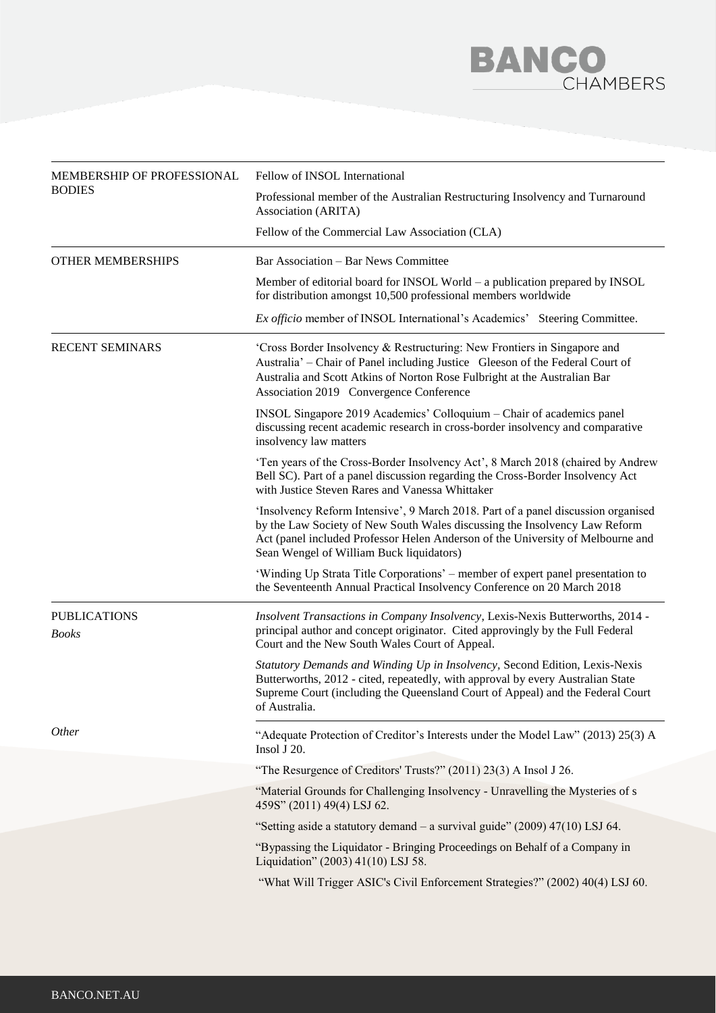## **BANCO**<br>CHAMBERS

| MEMBERSHIP OF PROFESSIONAL<br><b>BODIES</b> | Fellow of INSOL International                                                                                                                                                                                                                                                                  |  |
|---------------------------------------------|------------------------------------------------------------------------------------------------------------------------------------------------------------------------------------------------------------------------------------------------------------------------------------------------|--|
|                                             | Professional member of the Australian Restructuring Insolvency and Turnaround<br>Association (ARITA)                                                                                                                                                                                           |  |
|                                             | Fellow of the Commercial Law Association (CLA)                                                                                                                                                                                                                                                 |  |
| <b>OTHER MEMBERSHIPS</b>                    | Bar Association – Bar News Committee                                                                                                                                                                                                                                                           |  |
|                                             | Member of editorial board for INSOL World - a publication prepared by INSOL<br>for distribution amongst 10,500 professional members worldwide                                                                                                                                                  |  |
|                                             | Ex officio member of INSOL International's Academics' Steering Committee.                                                                                                                                                                                                                      |  |
| <b>RECENT SEMINARS</b>                      | 'Cross Border Insolvency & Restructuring: New Frontiers in Singapore and<br>Australia' - Chair of Panel including Justice Gleeson of the Federal Court of<br>Australia and Scott Atkins of Norton Rose Fulbright at the Australian Bar<br>Association 2019 Convergence Conference              |  |
|                                             | INSOL Singapore 2019 Academics' Colloquium - Chair of academics panel<br>discussing recent academic research in cross-border insolvency and comparative<br>insolvency law matters                                                                                                              |  |
|                                             | 'Ten years of the Cross-Border Insolvency Act', 8 March 2018 (chaired by Andrew<br>Bell SC). Part of a panel discussion regarding the Cross-Border Insolvency Act<br>with Justice Steven Rares and Vanessa Whittaker                                                                           |  |
|                                             | 'Insolvency Reform Intensive', 9 March 2018. Part of a panel discussion organised<br>by the Law Society of New South Wales discussing the Insolvency Law Reform<br>Act (panel included Professor Helen Anderson of the University of Melbourne and<br>Sean Wengel of William Buck liquidators) |  |
|                                             | 'Winding Up Strata Title Corporations' – member of expert panel presentation to<br>the Seventeenth Annual Practical Insolvency Conference on 20 March 2018                                                                                                                                     |  |
| <b>PUBLICATIONS</b><br><b>Books</b>         | Insolvent Transactions in Company Insolvency, Lexis-Nexis Butterworths, 2014 -<br>principal author and concept originator. Cited approvingly by the Full Federal<br>Court and the New South Wales Court of Appeal.                                                                             |  |
|                                             | Statutory Demands and Winding Up in Insolvency, Second Edition, Lexis-Nexis<br>Butterworths, 2012 - cited, repeatedly, with approval by every Australian State<br>Supreme Court (including the Queensland Court of Appeal) and the Federal Court<br>of Australia.                              |  |
| Other                                       | "Adequate Protection of Creditor's Interests under the Model Law" (2013) 25(3) A<br>Insol J 20.                                                                                                                                                                                                |  |
|                                             | "The Resurgence of Creditors' Trusts?" (2011) 23(3) A Insol J 26.                                                                                                                                                                                                                              |  |
|                                             | "Material Grounds for Challenging Insolvency - Unravelling the Mysteries of s<br>459S" (2011) 49(4) LSJ 62.                                                                                                                                                                                    |  |
|                                             | "Setting aside a statutory demand $-$ a survival guide" (2009) 47(10) LSJ 64.                                                                                                                                                                                                                  |  |
|                                             | "Bypassing the Liquidator - Bringing Proceedings on Behalf of a Company in<br>Liquidation" (2003) 41(10) LSJ 58.                                                                                                                                                                               |  |
|                                             | "What Will Trigger ASIC's Civil Enforcement Strategies?" (2002) 40(4) LSJ 60.                                                                                                                                                                                                                  |  |